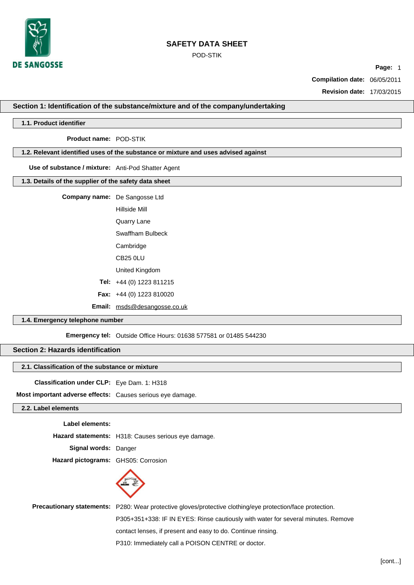

POD-STIK

**Page:** 1

**Compilation date:** 06/05/2011

**Revision date:** 17/03/2015

# **S Revision No:** <sup>3</sup> **ection 1: Identification of the substance/mixture and of the company/undertaking**

## **1.1. Product identifier**

**Product name:** POD-STIK

### **1.2. Relevant identified uses of the substance or mixture and uses advised against**

**Use of substance / mixture:** Anti-Pod Shatter Agent

## **1.3. Details of the supplier of the safety data sheet**

**Company name:** De Sangosse Ltd

Hillside Mill

Quarry Lane

Swaffham Bulbeck

**Cambridge** 

CB25 0LU

United Kingdom

**Tel:** +44 (0) 1223 811215

**Fax:** +44 (0) 1223 810020

**Email:** [msds@desangosse.co.uk](mailto:msds@desangosse.co.uk)

## **1.4. Emergency telephone number**

**Emergency tel:** Outside Office Hours: 01638 577581 or 01485 544230

## **Section 2: Hazards identification**

### **2.1. Classification of the substance or mixture**

**Classification under CLP:** Eye Dam. 1: H318

**Most important adverse effects:** Causes serious eye damage.

## **2.2. Label elements**

**Label elements:**

**Hazard statements:** H318: Causes serious eye damage.

**Signal words:** Danger

**Hazard pictograms:** GHS05: Corrosion



**Precautionary statements:** P280: Wear protective gloves/protective clothing/eye protection/face protection.

P305+351+338: IF IN EYES: Rinse cautiously with water for several minutes. Remove

contact lenses, if present and easy to do. Continue rinsing.

P310: Immediately call a POISON CENTRE or doctor.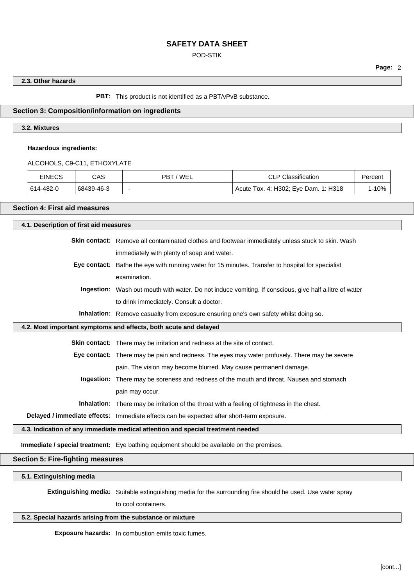## POD-STIK

**Page:** 2

## **2.3. Other hazards**

**PBT:** This product is not identified as a PBT/vPvB substance.

## **Section 3: Composition/information on ingredients**

## **3.2. Mixtures**

**Hazardous ingredients:**

ALCOHOLS, C9-C11, ETHOXYLATE

| <b>EINECS</b> | CAS        | 'WEL<br>PBT | <b>CLP Classification</b>            | Percent |
|---------------|------------|-------------|--------------------------------------|---------|
| 614-482-0     | 68439-46-3 | -           | Acute Tox. 4: H302; Eye Dam. 1: H318 | 1-10%   |

## **Section 4: First aid measures**

| 4.1. Description of first aid measures                                          |                                                                                                        |  |
|---------------------------------------------------------------------------------|--------------------------------------------------------------------------------------------------------|--|
|                                                                                 | Skin contact: Remove all contaminated clothes and footwear immediately unless stuck to skin. Wash      |  |
|                                                                                 | immediately with plenty of soap and water.                                                             |  |
| Eye contact:                                                                    | Bathe the eye with running water for 15 minutes. Transfer to hospital for specialist                   |  |
|                                                                                 | examination.                                                                                           |  |
|                                                                                 | Ingestion: Wash out mouth with water. Do not induce vomiting. If conscious, give half a litre of water |  |
|                                                                                 | to drink immediately. Consult a doctor.                                                                |  |
|                                                                                 | Inhalation: Remove casualty from exposure ensuring one's own safety whilst doing so.                   |  |
|                                                                                 | 4.2. Most important symptoms and effects, both acute and delayed                                       |  |
|                                                                                 | <b>Skin contact:</b> There may be irritation and redness at the site of contact.                       |  |
|                                                                                 | Eye contact: There may be pain and redness. The eyes may water profusely. There may be severe          |  |
|                                                                                 | pain. The vision may become blurred. May cause permanent damage.                                       |  |
|                                                                                 | Ingestion: There may be soreness and redness of the mouth and throat. Nausea and stomach               |  |
|                                                                                 | pain may occur.                                                                                        |  |
|                                                                                 | <b>Inhalation:</b> There may be irritation of the throat with a feeling of tightness in the chest.     |  |
|                                                                                 | Delayed / immediate effects: Immediate effects can be expected after short-term exposure.              |  |
| 4.3. Indication of any immediate medical attention and special treatment needed |                                                                                                        |  |
|                                                                                 | Immediate / special treatment: Eye bathing equipment should be available on the premises.              |  |
| <b>Section 5: Fire-fighting measures</b>                                        |                                                                                                        |  |
| ---------                                                                       |                                                                                                        |  |

**5.1. Extinguishing media**

**Extinguishing media:** Suitable extinguishing media for the surrounding fire should be used. Use water spray

to cool containers.

## **5.2. Special hazards arising from the substance or mixture**

**Exposure hazards:** In combustion emits toxic fumes.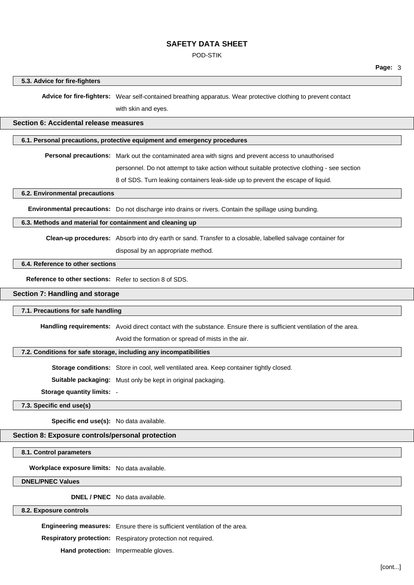### POD-STIK

#### **5.3. Advice for fire-fighters**

**Advice for fire-fighters:** Wear self-contained breathing apparatus. Wear protective clothing to prevent contact

with skin and eyes.

### **Section 6: Accidental release measures**

## **6.1. Personal precautions, protective equipment and emergency procedures**

**Personal precautions:** Mark out the contaminated area with signs and prevent access to unauthorised

personnel. Do not attempt to take action without suitable protective clothing - see section

8 of SDS. Turn leaking containers leak-side up to prevent the escape of liquid.

**6.2. Environmental precautions**

**Environmental precautions:** Do not discharge into drains or rivers. Contain the spillage using bunding.

#### **6.3. Methods and material for containment and cleaning up**

**Clean-up procedures:** Absorb into dry earth or sand. Transfer to a closable, labelled salvage container for

disposal by an appropriate method.

## **6.4. Reference to other sections**

**Reference to other sections:** Refer to section 8 of SDS.

## **Section 7: Handling and storage**

### **7.1. Precautions for safe handling**

**Handling requirements:** Avoid direct contact with the substance. Ensure there is sufficient ventilation of the area.

Avoid the formation or spread of mists in the air.

### **7.2. Conditions for safe storage, including any incompatibilities**

**Storage conditions:** Store in cool, well ventilated area. Keep container tightly closed.

**Suitable packaging:** Must only be kept in original packaging.

**Storage quantity limits:** -

## **7.3. Specific end use(s)**

**Specific end use(s):** No data available.

### **Section 8: Exposure controls/personal protection**

**8.1. Control parameters**

**Workplace exposure limits:** No data available.

**DNEL/PNEC Values**

**DNEL / PNEC** No data available.

#### **8.2. Exposure controls**

**Engineering measures:** Ensure there is sufficient ventilation of the area.

**Respiratory protection:** Respiratory protection not required.

**Hand protection:** Impermeable gloves.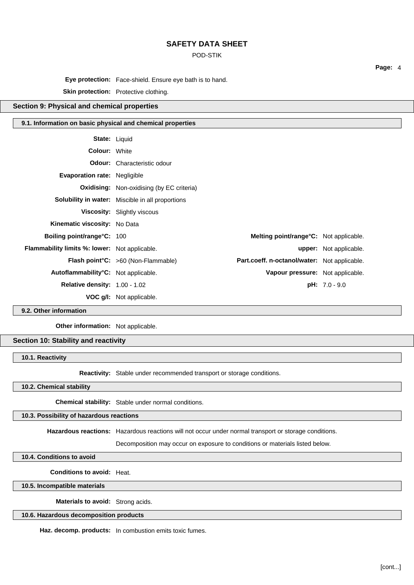POD-STIK

**Page:** 4

**Eye protection:** Face-shield. Ensure eye bath is to hand.

**Skin protection:** Protective clothing.

## **Section 9: Physical and chemical properties**

## **9.1. Information on basic physical and chemical properties**

| <b>Colour: White</b><br><b>Odour:</b> Characteristic odour<br><b>Evaporation rate: Negligible</b><br><b>Oxidising:</b> Non-oxidising (by EC criteria)<br><b>Solubility in water:</b> Miscible in all proportions<br>Viscosity: Slightly viscous<br>Kinematic viscosity: No Data<br><b>Boiling point/range°C: 100</b><br>Melting point/range°C: Not applicable.<br><b>Flammability limits %: lower:</b> Not applicable.<br>upper: Not applicable.<br>Flash point°C: >60 (Non-Flammable)<br>Part.coeff. n-octanol/water: Not applicable.<br>Autoflammability°C: Not applicable.<br>Vapour pressure: Not applicable.<br><b>Relative density: 1.00 - 1.02</b><br>$pH: 7.0 - 9.0$<br><b>VOC g/I:</b> Not applicable. | <b>State: Liquid</b> |  |  |
|-----------------------------------------------------------------------------------------------------------------------------------------------------------------------------------------------------------------------------------------------------------------------------------------------------------------------------------------------------------------------------------------------------------------------------------------------------------------------------------------------------------------------------------------------------------------------------------------------------------------------------------------------------------------------------------------------------------------|----------------------|--|--|
|                                                                                                                                                                                                                                                                                                                                                                                                                                                                                                                                                                                                                                                                                                                 |                      |  |  |
|                                                                                                                                                                                                                                                                                                                                                                                                                                                                                                                                                                                                                                                                                                                 |                      |  |  |
|                                                                                                                                                                                                                                                                                                                                                                                                                                                                                                                                                                                                                                                                                                                 |                      |  |  |
|                                                                                                                                                                                                                                                                                                                                                                                                                                                                                                                                                                                                                                                                                                                 |                      |  |  |
|                                                                                                                                                                                                                                                                                                                                                                                                                                                                                                                                                                                                                                                                                                                 |                      |  |  |
|                                                                                                                                                                                                                                                                                                                                                                                                                                                                                                                                                                                                                                                                                                                 |                      |  |  |
|                                                                                                                                                                                                                                                                                                                                                                                                                                                                                                                                                                                                                                                                                                                 |                      |  |  |
|                                                                                                                                                                                                                                                                                                                                                                                                                                                                                                                                                                                                                                                                                                                 |                      |  |  |
|                                                                                                                                                                                                                                                                                                                                                                                                                                                                                                                                                                                                                                                                                                                 |                      |  |  |
|                                                                                                                                                                                                                                                                                                                                                                                                                                                                                                                                                                                                                                                                                                                 |                      |  |  |
|                                                                                                                                                                                                                                                                                                                                                                                                                                                                                                                                                                                                                                                                                                                 |                      |  |  |
|                                                                                                                                                                                                                                                                                                                                                                                                                                                                                                                                                                                                                                                                                                                 |                      |  |  |
|                                                                                                                                                                                                                                                                                                                                                                                                                                                                                                                                                                                                                                                                                                                 |                      |  |  |

**9.2. Other information**

**Other information:** Not applicable.

## **Section 10: Stability and reactivity**

**10.1. Reactivity**

**Reactivity:** Stable under recommended transport or storage conditions.

**10.2. Chemical stability**

**Chemical stability:** Stable under normal conditions.

### **10.3. Possibility of hazardous reactions**

**Hazardous reactions:** Hazardous reactions will not occur under normal transport or storage conditions.

Decomposition may occur on exposure to conditions or materials listed below.

**10.4. Conditions to avoid**

**Conditions to avoid:** Heat.

**10.5. Incompatible materials**

**Materials to avoid:** Strong acids.

**10.6. Hazardous decomposition products**

**Haz. decomp. products:** In combustion emits toxic fumes.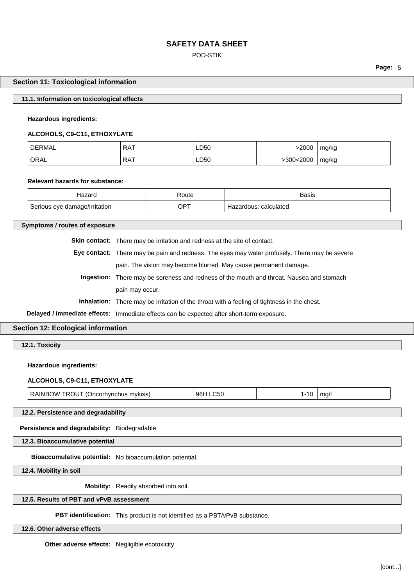## POD-STIK

**Page:** 5

### **Section 11: Toxicological information**

### **11.1. Information on toxicological effects**

### **Hazardous ingredients:**

#### **ALCOHOLS, C9-C11, ETHOXYLATE**

| חרי<br>RMA | RA <sup>T</sup> | LD50 | 2000  | mg/kg<br>- 11 |
|------------|-----------------|------|-------|---------------|
| ' ORAL     | `RA.            | LD50 | .2000 | mg/kg         |
|            |                 | ___  | . u   |               |

#### **Relevant hazards for substance:**

| ⊓azaru                        | रoute       | <b>Basis</b>                    |
|-------------------------------|-------------|---------------------------------|
| Serious eye damage/irritation | $OP^{\tau}$ | calculated<br>nus.<br>חר<br>zar |

## **Symptoms / routes of exposure**

**Skin contact:** There may be irritation and redness at the site of contact.

- **Eye contact:** There may be pain and redness. The eyes may water profusely. There may be severe pain. The vision may become blurred. May cause permanent damage.
	- **Ingestion:** There may be soreness and redness of the mouth and throat. Nausea and stomach pain may occur.

**Inhalation:** There may be irritation of the throat with a feeling of tightness in the chest.

**Delayed / immediate effects:** Immediate effects can be expected after short-term exposure.

## **Section 12: Ecological information**

**12.1. Toxicity**

#### **Hazardous ingredients:**

#### **ALCOHOLS, C9-C11, ETHOXYLATE**

| ) W<br>INRO<br>1 ROUT<br>mykiss<br>: )ncorhvnchus | 96F<br>ור |  |
|---------------------------------------------------|-----------|--|
|                                                   |           |  |

**12.2. Persistence and degradability**

**Persistence and degradability:** Biodegradable.

**12.3. Bioaccumulative potential**

**Bioaccumulative potential:** No bioaccumulation potential.

**12.4. Mobility in soil**

**Mobility:** Readily absorbed into soil.

## **12.5. Results of PBT and vPvB assessment**

**PBT identification:** This product is not identified as a PBT/vPvB substance.

**12.6. Other adverse effects**

**Other adverse effects:** Negligible ecotoxicity.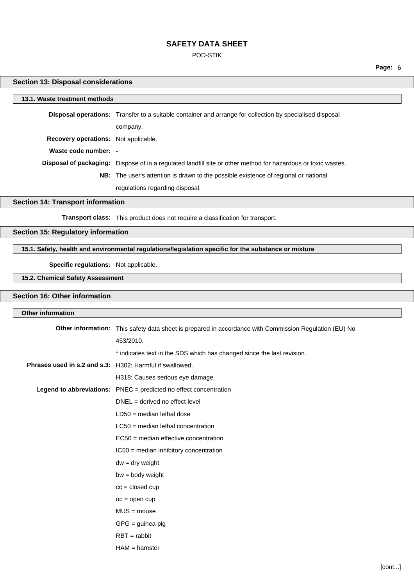POD-STIK

**Page:** 6

## **Section 13: Disposal considerations**

r

| 13.1. Waste treatment methods               |                                                                                                                      |  |
|---------------------------------------------|----------------------------------------------------------------------------------------------------------------------|--|
|                                             | <b>Disposal operations:</b> Transfer to a suitable container and arrange for collection by specialised disposal      |  |
|                                             | company.                                                                                                             |  |
| <b>Recovery operations:</b> Not applicable. |                                                                                                                      |  |
| Waste code number: -                        |                                                                                                                      |  |
|                                             | <b>Disposal of packaging:</b> Dispose of in a regulated landfill site or other method for hazardous or toxic wastes. |  |
|                                             | <b>NB:</b> The user's attention is drawn to the possible existence of regional or national                           |  |
|                                             | regulations regarding disposal.                                                                                      |  |
| Section 14: Transport information           |                                                                                                                      |  |

#### **Section 14: Transport information**

**Transport class:** This product does not require a classification for transport.

## **Section 15: Regulatory information**

## **15.1. Safety, health and environmental regulations/legislation specific for the substance or mixture**

**Specific regulations:** Not applicable.

**15.2. Chemical Safety Assessment**

## **Section 16: Other information**

| <b>Other information</b>                                 |                                                                                                        |
|----------------------------------------------------------|--------------------------------------------------------------------------------------------------------|
|                                                          | Other information: This safety data sheet is prepared in accordance with Commission Regulation (EU) No |
|                                                          | 453/2010.                                                                                              |
|                                                          | * indicates text in the SDS which has changed since the last revision.                                 |
| Phrases used in s.2 and s.3: H302: Harmful if swallowed. |                                                                                                        |
|                                                          | H318: Causes serious eye damage.                                                                       |
|                                                          | Legend to abbreviations: PNEC = predicted no effect concentration                                      |
|                                                          | DNEL = derived no effect level                                                                         |
|                                                          | $LD50 = median$ lethal dose                                                                            |
|                                                          | $LC50$ = median lethal concentration                                                                   |
|                                                          | EC50 = median effective concentration                                                                  |
|                                                          | IC50 = median inhibitory concentration                                                                 |
|                                                          | $dw = dry$ weight                                                                                      |
|                                                          | $bw = body weight$                                                                                     |
|                                                          | $cc = closed cup$                                                                                      |
|                                                          | $oc = open cup$                                                                                        |
|                                                          | $MUS = mouse$                                                                                          |
|                                                          | $GPG =$ guinea pig                                                                                     |
|                                                          | $RBT = rabbit$                                                                                         |
|                                                          | $HAM = hamster$                                                                                        |